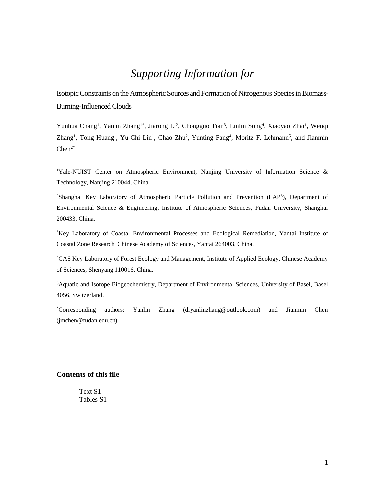## *Supporting Information for*

Isotopic Constraints on the Atmospheric Sources and Formation of Nitrogenous Species in Biomass-Burning-Influenced Clouds

Yunhua Chang<sup>1</sup>, Yanlin Zhang<sup>1\*</sup>, Jiarong Li<sup>2</sup>, Chongguo Tian<sup>3</sup>, Linlin Song<sup>4</sup>, Xiaoyao Zhai<sup>1</sup>, Wenqi Zhang<sup>1</sup>, Tong Huang<sup>1</sup>, Yu-Chi Lin<sup>1</sup>, Chao Zhu<sup>2</sup>, Yunting Fang<sup>4</sup>, Moritz F. Lehmann<sup>5</sup>, and Jianmin  $Chen<sup>2*</sup>$ 

<sup>1</sup>Yale-NUIST Center on Atmospheric Environment, Nanjing University of Information Science & Technology, Nanjing 210044, China.

<sup>2</sup>Shanghai Key Laboratory of Atmospheric Particle Pollution and Prevention (LAP<sup>3</sup>), Department of Environmental Science & Engineering, Institute of Atmospheric Sciences, Fudan University, Shanghai 200433, China.

<sup>3</sup>Key Laboratory of Coastal Environmental Processes and Ecological Remediation, Yantai Institute of Coastal Zone Research, Chinese Academy of Sciences, Yantai 264003, China.

<sup>4</sup>CAS Key Laboratory of Forest Ecology and Management, Institute of Applied Ecology, Chinese Academy of Sciences, Shenyang 110016, China.

<sup>5</sup>Aquatic and Isotope Biogeochemistry, Department of Environmental Sciences, University of Basel, Basel 4056, Switzerland.

\*Corresponding authors: Yanlin Zhang (dryanlinzhang@outlook.com) and Jianmin Chen (jmchen@fudan.edu.cn).

## **Contents of this file**

Text S1 Tables S1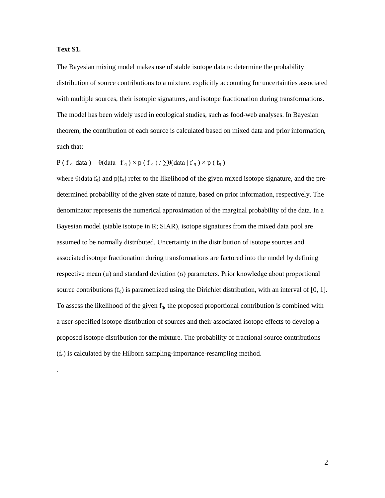## **Text S1.**

.

The Bayesian mixing model makes use of stable isotope data to determine the probability distribution of source contributions to a mixture, explicitly accounting for uncertainties associated with multiple sources, their isotopic signatures, and isotope fractionation during transformations. The model has been widely used in ecological studies, such as food-web analyses. In Bayesian theorem, the contribution of each source is calculated based on mixed data and prior information, such that:

 $P(f_q | data) = \theta(data | f_q) \times p(f_q) / \sum \theta(data | f_q) \times p(f_q)$ 

where  $\theta$ (data|f<sub>q</sub>) and p(f<sub>q</sub>) refer to the likelihood of the given mixed isotope signature, and the predetermined probability of the given state of nature, based on prior information, respectively. The denominator represents the numerical approximation of the marginal probability of the data. In a Bayesian model (stable isotope in R; SIAR), isotope signatures from the mixed data pool are assumed to be normally distributed. Uncertainty in the distribution of isotope sources and associated isotope fractionation during transformations are factored into the model by defining respective mean (μ) and standard deviation (σ) parameters. Prior knowledge about proportional source contributions  $(f_q)$  is parametrized using the Dirichlet distribution, with an interval of [0, 1]. To assess the likelihood of the given  $f_q$ , the proposed proportional contribution is combined with a user-specified isotope distribution of sources and their associated isotope effects to develop a proposed isotope distribution for the mixture. The probability of fractional source contributions  $(f<sub>q</sub>)$  is calculated by the Hilborn sampling-importance-resampling method.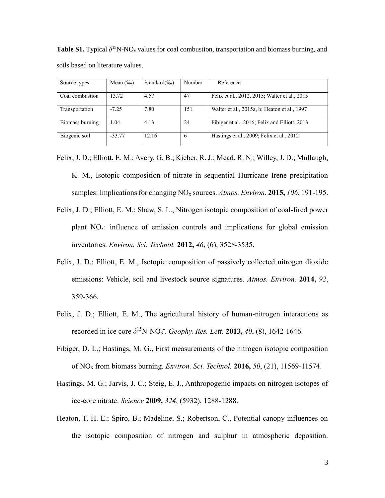**Table S1.** Typical  $\delta^{15}N\text{-}NO_x$  values for coal combustion, transportation and biomass burning, and soils based on literature values.

| Source types    | Mean $(\%_0)$ | Standard $(\%_0)$ | Number | Reference                                     |
|-----------------|---------------|-------------------|--------|-----------------------------------------------|
| Coal combustion | 13.72         | 4.57              | 47     | Felix et al., 2012, 2015; Walter et al., 2015 |
| Transportation  | $-7.25$       | 7.80              | 151    | Walter et al., 2015a, b; Heaton et al., 1997  |
| Biomass burning | 1.04          | 4.13              | 24     | Fibiger et al., 2016; Felix and Elliott, 2013 |
| Biogenic soil   | $-33.77$      | 12.16             | 6      | Hastings et al., 2009; Felix et al., 2012     |

- Felix, J. D.; Elliott, E. M.; Avery, G. B.; Kieber, R. J.; Mead, R. N.; Willey, J. D.; Mullaugh, K. M., Isotopic composition of nitrate in sequential Hurricane Irene precipitation samples: Implications for changing NO<sup>x</sup> sources. *Atmos. Environ.* **2015,** *106*, 191-195.
- Felix, J. D.; Elliott, E. M.; Shaw, S. L., Nitrogen isotopic composition of coal-fired power plant  $NO<sub>x</sub>$ : influence of emission controls and implications for global emission inventories. *Environ. Sci. Technol.* **2012,** *46*, (6), 3528-3535.
- Felix, J. D.; Elliott, E. M., Isotopic composition of passively collected nitrogen dioxide emissions: Vehicle, soil and livestock source signatures. *Atmos. Environ.* **2014,** *92*, 359-366.
- Felix, J. D.; Elliott, E. M., The agricultural history of human-nitrogen interactions as recorded in ice core  $\delta^{15}N\text{-}NO_3$ . *Geophy. Res. Lett.* **2013**, 40, (8), 1642-1646.
- Fibiger, D. L.; Hastings, M. G., First measurements of the nitrogen isotopic composition of NO<sup>x</sup> from biomass burning. *Environ. Sci. Technol.* **2016,** *50*, (21), 11569-11574.
- Hastings, M. G.; Jarvis, J. C.; Steig, E. J., Anthropogenic impacts on nitrogen isotopes of ice-core nitrate. *Science* **2009,** *324*, (5932), 1288-1288.
- Heaton, T. H. E.; Spiro, B.; Madeline, S.; Robertson, C., Potential canopy influences on the isotopic composition of nitrogen and sulphur in atmospheric deposition.